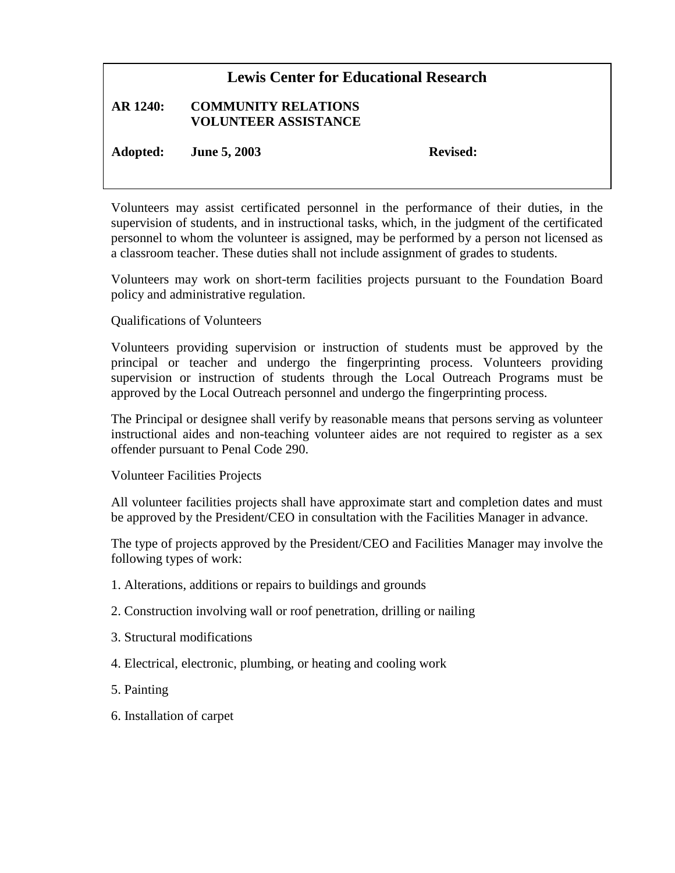## **Lewis Center for Educational Research**

## **AR 1240: COMMUNITY RELATIONS VOLUNTEER ASSISTANCE**

**Adopted: June 5, 2003 Revised:**

Volunteers may assist certificated personnel in the performance of their duties, in the supervision of students, and in instructional tasks, which, in the judgment of the certificated personnel to whom the volunteer is assigned, may be performed by a person not licensed as a classroom teacher. These duties shall not include assignment of grades to students.

Volunteers may work on short-term facilities projects pursuant to the Foundation Board policy and administrative regulation.

## Qualifications of Volunteers

Volunteers providing supervision or instruction of students must be approved by the principal or teacher and undergo the fingerprinting process. Volunteers providing supervision or instruction of students through the Local Outreach Programs must be approved by the Local Outreach personnel and undergo the fingerprinting process.

The Principal or designee shall verify by reasonable means that persons serving as volunteer instructional aides and non-teaching volunteer aides are not required to register as a sex offender pursuant to Penal Code 290.

## Volunteer Facilities Projects

All volunteer facilities projects shall have approximate start and completion dates and must be approved by the President/CEO in consultation with the Facilities Manager in advance.

The type of projects approved by the President/CEO and Facilities Manager may involve the following types of work:

- 1. Alterations, additions or repairs to buildings and grounds
- 2. Construction involving wall or roof penetration, drilling or nailing
- 3. Structural modifications
- 4. Electrical, electronic, plumbing, or heating and cooling work
- 5. Painting
- 6. Installation of carpet